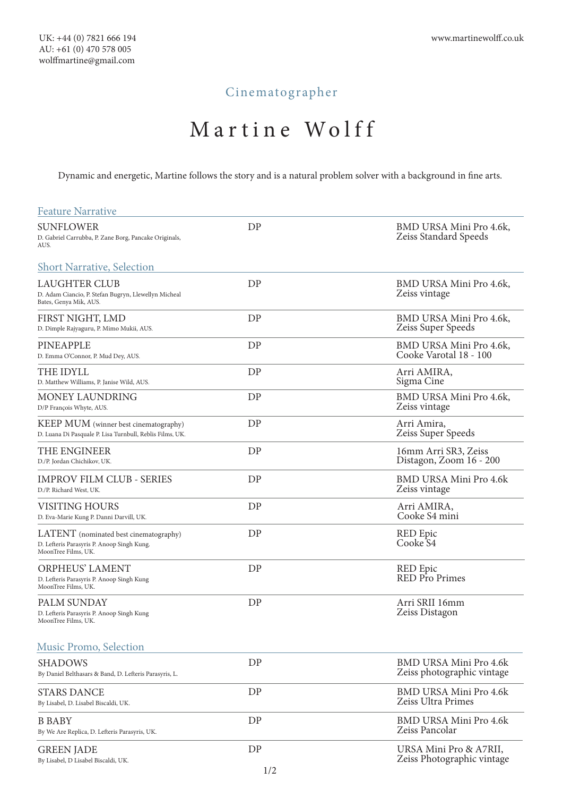# Cinematographer

# Martine Wolff

Dynamic and energetic, Martine follows the story and is a natural problem solver with a background in fine arts.

| <b>Feature Narrative</b>                                                                                    |    |                                                             |
|-------------------------------------------------------------------------------------------------------------|----|-------------------------------------------------------------|
| <b>SUNFLOWER</b><br>D. Gabriel Carrubba, P. Zane Borg, Pancake Originals,<br>AUS.                           | DP | BMD URSA Mini Pro 4.6k,<br>Zeiss Standard Speeds            |
| <b>Short Narrative, Selection</b>                                                                           |    |                                                             |
| <b>LAUGHTER CLUB</b><br>D. Adam Ciancio, P. Stefan Bugryn, Llewellyn Micheal<br>Bates, Genya Mik, AUS.      | DP | BMD URSA Mini Pro 4.6k,<br>Zeiss vintage                    |
| FIRST NIGHT, LMD<br>D. Dimple Rajyaguru, P. Mimo Mukii, AUS.                                                | DP | BMD URSA Mini Pro 4.6k,<br>Zeiss Super Speeds               |
| PINEAPPLE<br>D. Emma O'Connor, P. Mud Dey, AUS.                                                             | DP | BMD URSA Mini Pro 4.6k,<br>Cooke Varotal 18 - 100           |
| THE IDYLL<br>D. Matthew Williams, P. Janise Wild, AUS.                                                      | DP | Arri AMIRA,<br>Sigma Cine                                   |
| MONEY LAUNDRING<br>D/P François Whyte, AUS.                                                                 | DP | BMD URSA Mini Pro 4.6k,<br>Zeiss vintage                    |
| KEEP MUM (winner best cinematography)<br>D. Luana Di Pasquale P. Lisa Turnbull, Reblis Films, UK.           | DP | Arri Amira,<br>Zeiss Super Speeds                           |
| THE ENGINEER<br>D./P. Jordan Chichikov, UK.                                                                 | DP | 16mm Arri SR3, Zeiss<br>Distagon, Zoom 16 - 200             |
| IMPROV FILM CLUB - SERIES<br>D./P. Richard West, UK.                                                        | DP | BMD URSA Mini Pro 4.6k<br>Zeiss vintage                     |
| VISITING HOURS<br>D. Eva-Marie Kung P. Danni Darvill, UK.                                                   | DP | Arri AMIRA,<br>Cooke S4 mini                                |
| LATENT (nominated best cinematography)<br>D. Lefteris Parasyris P. Anoop Singh Kung.<br>MoonTree Films, UK. | DP | <b>RED</b> Epic<br>Cooke <sub>S4</sub>                      |
| <b>ORPHEUS' LAMENT</b><br>D. Lefteris Parasyris P. Anoop Singh Kung<br>MoonTree Films, UK.                  | DP | RED Epic<br>RED Pro Primes                                  |
| PALM SUNDAY<br>D. Lefteris Parasyris P. Anoop Singh Kung<br>MoonTree Films, UK.                             | DP | Arri SRII 16mm<br>Zeiss Distagon                            |
| Music Promo, Selection                                                                                      |    |                                                             |
| <b>SHADOWS</b><br>By Daniel Belthasars & Band, D. Lefteris Parasyris, L.                                    | DP | <b>BMD URSA Mini Pro 4.6k</b><br>Zeiss photographic vintage |
| <b>STARS DANCE</b><br>By Lisabel, D. Lisabel Biscaldi, UK.                                                  | DP | <b>BMD URSA Mini Pro 4.6k</b><br>Zeiss Ultra Primes         |
| <b>B BABY</b><br>By We Are Replica, D. Lefteris Parasyris, UK.                                              | DP | <b>BMD URSA Mini Pro 4.6k</b><br>Zeiss Pancolar             |
| <b>GREEN JADE</b><br>By Lisabel, D Lisabel Biscaldi, UK.                                                    | DP | URSA Mini Pro & A7RII,<br>Zeiss Photographic vintage        |